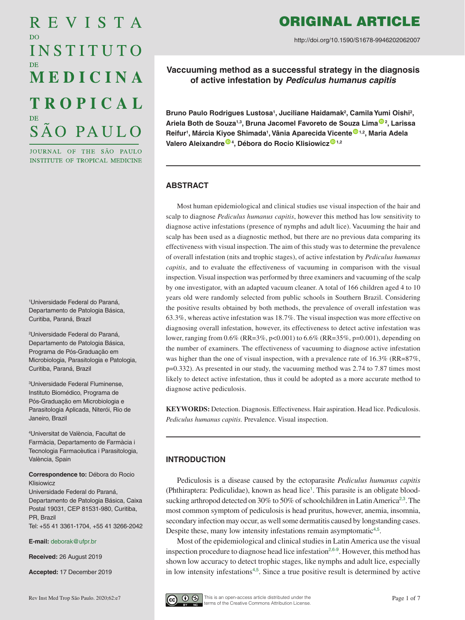# REVISTA D<sub>O</sub> INSTITUTO MEDICINA **TROPICAL** SÃO PAULO

JOURNAL OF THE SÃO PAULO INSTITUTE OF TROPICAL MEDICINE

1 Universidade Federal do Paraná, Departamento de Patologia Básica, Curitiba, Paraná, Brazil

2 Universidade Federal do Paraná, Departamento de Patologia Básica, Programa de Pós-Graduação em Microbiologia, Parasitologia e Patologia, Curitiba, Paraná, Brazil

3 Universidade Federal Fluminense, Instituto Biomédico, Programa de Pós-Graduação em Microbiologia e Parasitologia Aplicada, Niterói, Rio de Janeiro, Brazil

4 Universitat de València, Facultat de Farmàcia, Departamento de Farmàcia i Tecnologia Farmacèutica i Parasitologia, València, Spain

**Correspondence to:** Débora do Rocio Klisiowicz

Universidade Federal do Paraná, Departamento de Patologia Básica, Caixa Postal 19031, CEP 81531-980, Curitiba, PR, Brazil Tel: +55 41 3361-1704, +55 41 3266-2042

**E-mail:** [deborak@ufpr.br](mailto:deborak%40ufpr.br?subject=)

**Received:** 26 August 2019

**Accepted:** 17 December 2019

# ORIGINAL ARTICLE

http://doi.org/10.1590/S1678-9946202062007

**Vaccuuming method as a successful strategy in the diagnosis of active infestation by** *Pediculus humanus capitis* 

Bruno Paulo Rodrigues Lustosa<sup>1</sup>, Juciliane Haidamak<sup>2</sup>, Camila Yumi Oishi<sup>2</sup>, **Ariela Both de Souza1,3, Bruna Jacomel Favoreto de Souza Lim[a](https://orcid.org/0000-0001-9552-9369) <sup>2</sup> , Larissa Reifur1 , Márcia Kiyoe Shimada1 , Vânia Aparecida Vicent[e](https://orcid.org/0000-0002-2953-4861) 1,2, Maria Adela Valero Aleixandr[e](https://orcid.org/0000-0003-1584-8330) <sup>4</sup> , Débora do Rocio Klisiowic[z](https://orcid.org/0000-0002-7699-0763) 1,2**

# **ABSTRACT**

Most human epidemiological and clinical studies use visual inspection of the hair and scalp to diagnose *Pediculus humanus capitis*, however this method has low sensitivity to diagnose active infestations (presence of nymphs and adult lice). Vacuuming the hair and scalp has been used as a diagnostic method, but there are no previous data comparing its effectiveness with visual inspection. The aim of this study was to determine the prevalence of overall infestation (nits and trophic stages), of active infestation by *Pediculus humanus capitis*, and to evaluate the effectiveness of vacuuming in comparison with the visual inspection. Visual inspection was performed by three examiners and vacuuming of the scalp by one investigator, with an adapted vacuum cleaner. A total of 166 children aged 4 to 10 years old were randomly selected from public schools in Southern Brazil. Considering the positive results obtained by both methods, the prevalence of overall infestation was 63.3%, whereas active infestation was 18.7%. The visual inspection was more effective on diagnosing overall infestation, however, its effectiveness to detect active infestation was lower, ranging from 0.6% (RR=3%, p<0.001) to 6.6% (RR=35%, p=0.001), depending on the number of examiners. The effectiveness of vacuuming to diagnose active infestation was higher than the one of visual inspection, with a prevalence rate of 16.3% (RR=87%, p=0.332). As presented in our study, the vacuuming method was 2.74 to 7.87 times most likely to detect active infestation, thus it could be adopted as a more accurate method to diagnose active pediculosis.

**KEYWORDS:** Detection. Diagnosis. Effectiveness. Hair aspiration. Head lice. Pediculosis. *Pediculus humanus capitis.* Prevalence. Visual inspection.

# **INTRODUCTION**

<span id="page-0-2"></span><span id="page-0-1"></span><span id="page-0-0"></span>Pediculosis is a disease caused by the ectoparasite *Pediculus humanus capitis* (Phthiraptera: Pediculidae), known as head lice<sup>1</sup>. This parasite is an obligate bloodsucking arthropod detected on 30% to 50% of schoolchildren in Latin America<sup>2,3</sup>. The most common symptom of pediculosis is head pruritus, however, anemia, insomnia, secondary infection may occur, as well some dermatitis caused by longstanding cases. Despite these, many low intensity infestations remain asymptomatic<sup>4,5</sup>.

<span id="page-0-6"></span><span id="page-0-5"></span><span id="page-0-4"></span><span id="page-0-3"></span>Most of the epidemiological and clinical studies in Latin America use the visual inspection procedure to diagnose head lice infestation<sup>2,6-9</sup>. However, this method has shown low accuracy to detect trophic stages, like nymphs and adult lice, especially in low intensity infestations<sup>4,5</sup>. Since a true positive result is determined by active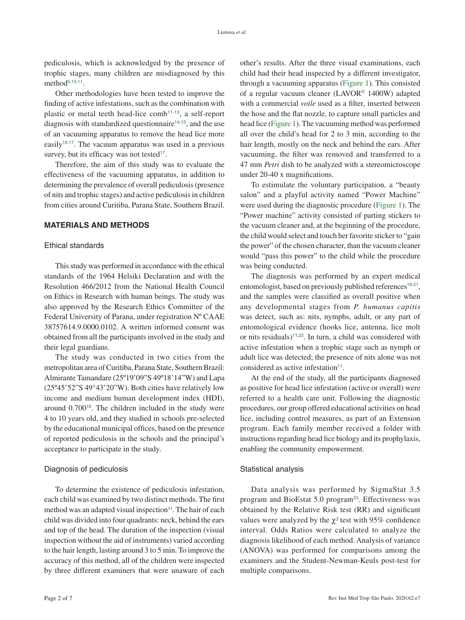pediculosis, which is acknowledged by the presence of trophic stages, many children are misdiagnosed by this method $5,10,11$ .

<span id="page-1-3"></span><span id="page-1-1"></span><span id="page-1-0"></span>Other methodologies have been tested to improve the finding of active infestations, such as the combination with plastic or metal teeth head-lice comb<sup>11-13</sup>, a self-report diagnosis with standardized questionnaire<sup> $14,15$ </sup>, and the use of an vacuuming apparatus to remove the head lice more easily<sup>16,17</sup>. The vacuum apparatus was used in a previous survey, but its efficacy was not tested $17$ .

<span id="page-1-6"></span><span id="page-1-5"></span>Therefore, the aim of this study was to evaluate the effectiveness of the vacuuming apparatus, in addition to determining the prevalence of overall pediculosis (presence of nits and trophic stages) and active pediculosis in children from cities around Curitiba, Parana State, Southern Brazil.

# **MATERIALS AND METHODS**

#### Ethical standards

This study was performed in accordance with the ethical standards of the 1964 Helsiki Declaration and with the Resolution 466/2012 from the National Health Council on Ethics in Research with human beings. The study was also approved by the Research Ethics Committee of the Federal University of Parana, under registration Nº CAAE 38757614.9.0000.0102. A written informed consent was obtained from all the participants involved in the study and their legal guardians.

<span id="page-1-7"></span>The study was conducted in two cities from the metropolitan area of Curitiba, Parana State, Southern Brazil: Almirante Tamandare (25º19'09"S 49º18'14"W) and Lapa (25º45'52"S 49°43'20"W). Both cities have relatively low income and medium human development index (HDI), around 0.700<sup>18</sup>. The children included in the study were 4 to 10 years old, and they studied in schools pre-selected by the educational municipal offices, based on the presence of reported pediculosis in the schools and the principal's acceptance to participate in the study.

#### Diagnosis of pediculosis

To determine the existence of pediculosis infestation, each child was examined by two distinct methods. The first method was an adapted visual inspection<sup>11</sup>. The hair of each child was divided into four quadrants: neck, behind the ears and top of the head. The duration of the inspection (visual inspection without the aid of instruments) varied according to the hair length, lasting around 3 to 5 min. To improve the accuracy of this method, all of the children were inspected by three different examiners that were unaware of each

<span id="page-1-4"></span><span id="page-1-2"></span>other's results. After the three visual examinations, each child had their head inspected by a different investigator, through a vacuuming apparatus (Figure 1). This consisted of a regular vacuum cleaner (LAVOR© 1400W) adapted with a commercial *voile* used as a filter*,* inserted between the hose and the flat nozzle, to capture small particles and head lice (Figure 1). The vacuuming method was performed all over the child's head for 2 to 3 min, according to the hair length, mostly on the neck and behind the ears. After vacuuming, the filter was removed and transferred to a 47 mm *Petri* dish to be analyzed with a stereomicroscope under 20-40 x magnifications.

To estimulate the voluntary participation, a "beauty salon" and a playful activity named "Power Machine" were used during the diagnostic procedure (Figure 1). The "Power machine" activity consisted of parting stickers to the vacuum cleaner and, at the beginning of the procedure, the child would select and touch her favorite sticker to "gain the power" of the chosen character, than the vacuum cleaner would "pass this power" to the child while the procedure was being conducted.

<span id="page-1-9"></span><span id="page-1-8"></span>The diagnosis was performed by an expert medical entomologist, based on previously published references<sup>19-21</sup>, and the samples were classified as overall positive when any developmental stages from *P. humanus capitis* was detect, such as: nits, nymphs, adult, or any part of entomological evidence (hooks lice, antenna, lice molt or nits residuals)<sup> $11,22$ </sup>. In turn, a child was considered with active infestation when a trophic stage such as nymph or adult lice was detected; the presence of nits alone was not considered as active infestation $11$ .

<span id="page-1-10"></span>At the end of the study, all the participants diagnosed as positive for head lice infestation (active or overall) were referred to a health care unit. Following the diagnostic procedures, our group offered educational activities on head lice, including control measures, as part of an Extension program. Each family member received a folder with instructions regarding head lice biology and its prophylaxis, enabling the community empowerment.

#### Statistical analysis

<span id="page-1-11"></span>Data analysis was performed by SigmaStat 3.5 program and BioEstat 5.0 program<sup>23</sup>. Effectiveness was obtained by the Relative Risk test (RR) and significant values were analyzed by the  $\chi^2$  test with 95% confidence interval. Odds Ratios were calculated to analyze the diagnosis likelihood of each method. Analysis of variance (ANOVA) was performed for comparisons among the examiners and the Student-Newman-Keuls post-test for multiple comparisons.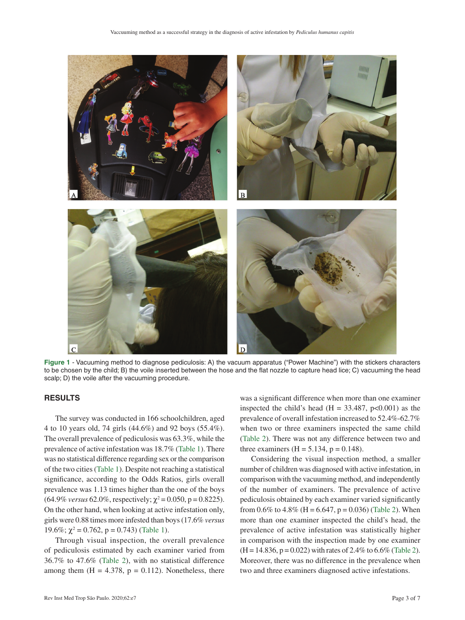

**Figure 1** - Vacuuming method to diagnose pediculosis: A) the vacuum apparatus ("Power Machine") with the stickers characters to be chosen by the child; B) the voile inserted between the hose and the flat nozzle to capture head lice; C) vacuuming the head scalp; D) the voile after the vacuuming procedure.

## **RESULTS**

The survey was conducted in 166 schoolchildren, aged 4 to 10 years old, 74 girls (44.6%) and 92 boys (55.4%). The overall prevalence of pediculosis was 63.3%, while the prevalence of active infestation was 18.7% (Table 1). There was no statistical difference regarding sex or the comparison of the two cities (Table 1). Despite not reaching a statistical significance, according to the Odds Ratios, girls overall prevalence was 1.13 times higher than the one of the boys  $(64.9\% \text{ versus } 62.0\%, \text{ respectively}; \chi^2 = 0.050, \text{p} = 0.8225).$ On the other hand, when looking at active infestation only, girls were 0.88 times more infested than boys (17.6% *versus*  19.6%;  $\chi^2$  = 0.762, p = 0.743) (Table 1).

Through visual inspection, the overall prevalence of pediculosis estimated by each examiner varied from 36.7% to 47.6% (Table 2), with no statistical difference among them  $(H = 4.378, p = 0.112)$ . Nonetheless, there

was a significant difference when more than one examiner inspected the child's head (H =  $33.487$ , p<0.001) as the prevalence of overall infestation increased to 52.4%-62.7% when two or three examiners inspected the same child (Table 2). There was not any difference between two and three examiners ( $H = 5.134$ ,  $p = 0.148$ ).

Considering the visual inspection method, a smaller number of children was diagnosed with active infestation, in comparison with the vacuuming method, and independently of the number of examiners. The prevalence of active pediculosis obtained by each examiner varied significantly from 0.6% to 4.8% (H = 6.647, p = 0.036) (Table 2). When more than one examiner inspected the child's head, the prevalence of active infestation was statistically higher in comparison with the inspection made by one examiner  $(H = 14.836, p = 0.022)$  with rates of 2.4% to 6.6% (Table 2). Moreover, there was no difference in the prevalence when two and three examiners diagnosed active infestations.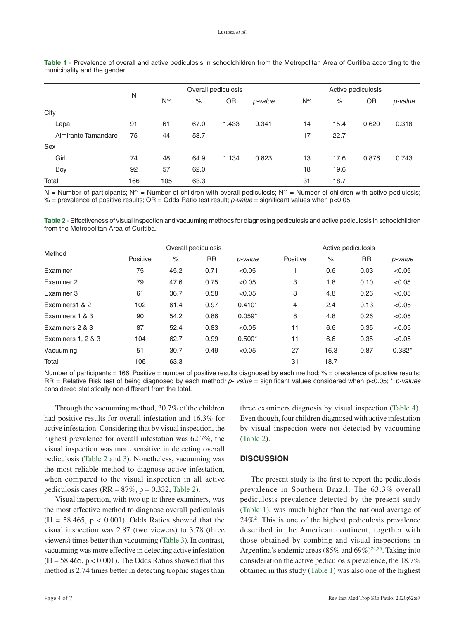|                     | N   | Overall pediculosis |      |       | Active pediculosis |                 |      |       |         |
|---------------------|-----|---------------------|------|-------|--------------------|-----------------|------|-------|---------|
|                     |     | N <sub>ov</sub>     | $\%$ | 0R    | p-value            | N <sup>ac</sup> | $\%$ | OR    | p-value |
| City                |     |                     |      |       |                    |                 |      |       |         |
| Lapa                | 91  | 61                  | 67.0 | 1.433 | 0.341              | 14              | 15.4 | 0.620 | 0.318   |
| Almirante Tamandare | 75  | 44                  | 58.7 |       |                    | 17              | 22.7 |       |         |
| Sex                 |     |                     |      |       |                    |                 |      |       |         |
| Girl                | 74  | 48                  | 64.9 | 1.134 | 0.823              | 13              | 17.6 | 0.876 | 0.743   |
| Boy                 | 92  | 57                  | 62.0 |       |                    | 18              | 19.6 |       |         |
| Total               | 166 | 105                 | 63.3 |       |                    | 31              | 18.7 |       |         |

**Table 1** - Prevalence of overall and active pediculosis in schoolchildren from the Metropolitan Area of Curitiba according to the municipality and the gender.

 $N =$  Number of participants;  $N^{\circ\prime}$  = Number of children with overall pediculosis;  $N^{\circ\prime}$  = Number of children with active pediulosis; % = prevalence of positive results; OR = Odds Ratio test result; *p-value* = significant values when p<0.05

**Table 2** - Effectiveness of visual inspection and vacuuming methods for diagnosing pediculosis and active pediculosis in schoolchildren from the Metropolitan Area of Curitiba.

| Method             |          | Overall pediculosis |           |          |                | Active pediculosis |           |          |  |
|--------------------|----------|---------------------|-----------|----------|----------------|--------------------|-----------|----------|--|
|                    | Positive | $\%$                | <b>RR</b> | p-value  | Positive       | $\%$               | <b>RR</b> | p-value  |  |
| Examiner 1         | 75       | 45.2                | 0.71      | < 0.05   |                | 0.6                | 0.03      | < 0.05   |  |
| Examiner 2         | 79       | 47.6                | 0.75      | < 0.05   | 3              | 1.8                | 0.10      | < 0.05   |  |
| Examiner 3         | 61       | 36.7                | 0.58      | < 0.05   | 8              | 4.8                | 0.26      | < 0.05   |  |
| Examiners1 & 2     | 102      | 61.4                | 0.97      | $0.410*$ | $\overline{4}$ | 2.4                | 0.13      | < 0.05   |  |
| Examiners 1 & 3    | 90       | 54.2                | 0.86      | $0.059*$ | 8              | 4.8                | 0.26      | < 0.05   |  |
| Examiners 2 & 3    | 87       | 52.4                | 0.83      | < 0.05   | 11             | 6.6                | 0.35      | < 0.05   |  |
| Examiners 1, 2 & 3 | 104      | 62.7                | 0.99      | $0.500*$ | 11             | 6.6                | 0.35      | < 0.05   |  |
| Vacuuming          | 51       | 30.7                | 0.49      | < 0.05   | 27             | 16.3               | 0.87      | $0.332*$ |  |
| Total              | 105      | 63.3                |           |          | 31             | 18.7               |           |          |  |

Number of participants = 166; Positive = number of positive results diagnosed by each method; % = prevalence of positive results; RR = Relative Risk test of being diagnosed by each method*; p- value* = significant values considered when p<0.05; \* *p-values* considered statistically non-different from the total.

Through the vacuuming method, 30.7% of the children had positive results for overall infestation and 16.3% for active infestation. Considering that by visual inspection, the highest prevalence for overall infestation was 62.7%, the visual inspection was more sensitive in detecting overall pediculosis (Table 2 and 3). Nonetheless, vacuuming was the most reliable method to diagnose active infestation, when compared to the visual inspection in all active pediculosis cases (RR =  $87\%$ , p = 0.332, Table 2).

Visual inspection, with two up to three examiners, was the most effective method to diagnose overall pediculosis  $(H = 58.465, p < 0.001)$ . Odds Ratios showed that the visual inspection was 2.87 (two viewers) to 3.78 (three viewers) times better than vacuuming (Table 3). In contrast, vacuuming was more effective in detecting active infestation  $(H = 58.465, p < 0.001)$ . The Odds Ratios showed that this method is 2.74 times better in detecting trophic stages than

three examiners diagnosis by visual inspection (Table 4). Even though, four children diagnosed with active infestation by visual inspection were not detected by vacuuming (Table 2).

#### **DISCUSSION**

<span id="page-3-1"></span><span id="page-3-0"></span>The present study is the first to report the pediculosis prevalence in Southern Brazil. The 63.3% overall pediculosis prevalence detected by the present study (Table 1), was much higher than the national average of 24%2 . This is one of the highest pediculosis prevalence described in the American continent, together with those obtained by combing and visual inspections in Argentina's endemic areas (85% and 69%)<sup>24,25</sup>. Taking into consideration the active pediculosis prevalence, the 18.7% obtained in this study (Table 1) was also one of the highest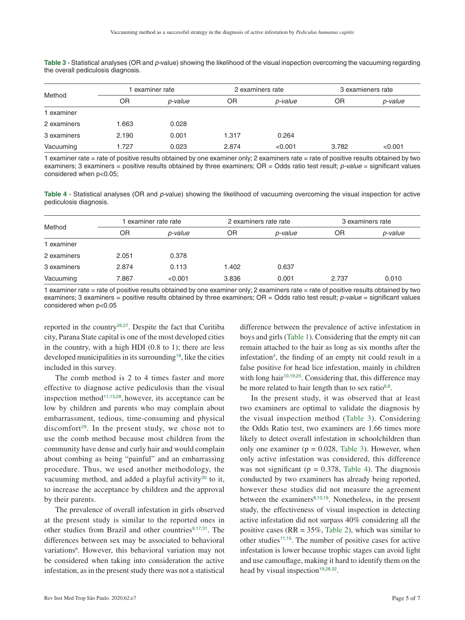| Table 3 - Statistical analyses (OR and p-value) showing the likelihood of the visual inspection overcoming the vacuuming regarding |  |  |  |
|------------------------------------------------------------------------------------------------------------------------------------|--|--|--|
| the overall pediculosis diagnosis.                                                                                                 |  |  |  |

| Method      |       | examiner rate |       | 2 examiners rate | 3 examieners rate |         |  |
|-------------|-------|---------------|-------|------------------|-------------------|---------|--|
|             | ΟR    | p-value       | ΟR    | p-value          | ΟR                | p-value |  |
| 1 examiner  |       |               |       |                  |                   |         |  |
| 2 examiners | 1.663 | 0.028         |       |                  |                   |         |  |
| 3 examiners | 2.190 | 0.001         | 1.317 | 0.264            |                   |         |  |
| Vacuuming   | 1.727 | 0.023         | 2.874 | < 0.001          | 3.782             | < 0.001 |  |

1 examiner rate = rate of positive results obtained by one examiner only; 2 examiners rate = rate of positive results obtained by two examiners; 3 examiners = positive results obtained by three examiners; OR = Odds ratio test result; *p-value* = significant values considered when p<0.05;

**Table 4** - Statistical analyses (OR and *p-*value) showing the likelihood of vacuuming overcoming the visual inspection for active pediculosis diagnosis.

| Method      |       | examiner rate rate |       | 2 examiners rate rate | 3 examiners rate |         |  |
|-------------|-------|--------------------|-------|-----------------------|------------------|---------|--|
|             | ΟR    | p-value            | ΟR    | p-value               | ΟR               | p-value |  |
| 1 examiner  |       |                    |       |                       |                  |         |  |
| 2 examiners | 2.051 | 0.378              |       |                       |                  |         |  |
| 3 examiners | 2.874 | 0.113              | 1.402 | 0.637                 |                  |         |  |
| Vacuuming   | 7.867 | < 0.001            | 3.836 | 0.001                 | 2.737            | 0.010   |  |

1 examiner rate = rate of positive results obtained by one examiner only; 2 examiners rate = rate of positive results obtained by two examiners; 3 examiners = positive results obtained by three examiners; OR = Odds ratio test result; *p-value* = significant values considered when p<0.05

reported in the country26,27. Despite the fact that Curitiba city, Parana State capital is one of the most developed cities in the country, with a high HDI (0.8 to 1); there are less developed municipalities in its surrounding18, like the cities included in this survey.

<span id="page-4-3"></span>The comb method is 2 to 4 times faster and more effective to diagnose active pediculosis than the visual inspection method<sup>11,13,28</sup>, however, its acceptance can be low by children and parents who may complain about embarrassment, tedious, time-consuming and physical discomfort<sup>29</sup>. In the present study, we chose not to use the comb method because most children from the community have dense and curly hair and would complain about combing as being "painful" and an embarrassing procedure. Thus, we used another methodology, the vacuuming method, and added a playful activity<sup>30</sup> to it, to increase the acceptance by children and the approval by their parents.

<span id="page-4-4"></span>The prevalence of overall infestation in girls observed at the present study is similar to the reported ones in other studies from Brazil and other countries<sup>9,17,[31](#page-1-0)</sup>. The differences between sex may be associated to behavioral variations<sup>6</sup>. However, this behavioral variation may not be considered when taking into consideration the active infestation, as in the present study there was not a statistical

<span id="page-4-1"></span><span id="page-4-0"></span>difference between the prevalence of active infestation in boys and girls (Table 1). Considering that the empty nit can remain attached to the hair as long as six months after the infestation<sup>4</sup>, the finding of an empty nit could result in a false positive for head lice infestation, mainly in children with long hair<sup>10,19,25</sup>. Considering that, this difference may be more related to hair length than to sex ratio $6.9$ .

<span id="page-4-6"></span><span id="page-4-5"></span><span id="page-4-2"></span>In the present study, it was observed that at least two examiners are optimal to validate the diagnosis by the visual inspection method (Table 3). Considering the Odds Ratio test, two examiners are 1.66 times more likely to detect overall infestation in schoolchildren than only one examiner ( $p = 0.028$ , Table 3). However, when only active infestation was considered, this difference was not significant ( $p = 0.378$ , Table 4). The diagnosis conducted by two examiners has already being reported, however these studies did not measure the agreement between the examiners $8,13,19$ . Nonetheless, in the present study, the effectiveness of visual inspection in detecting active infestation did not surpass 40% considering all the positive cases ( $RR = 35\%$ , Table 2), which was similar to other studies<sup>11,15</sup>. The number of positive cases for active infestation is lower because trophic stages can avoid light and use camouflage, making it hard to identify them on the head by visual inspection<sup>19,28,32</sup>.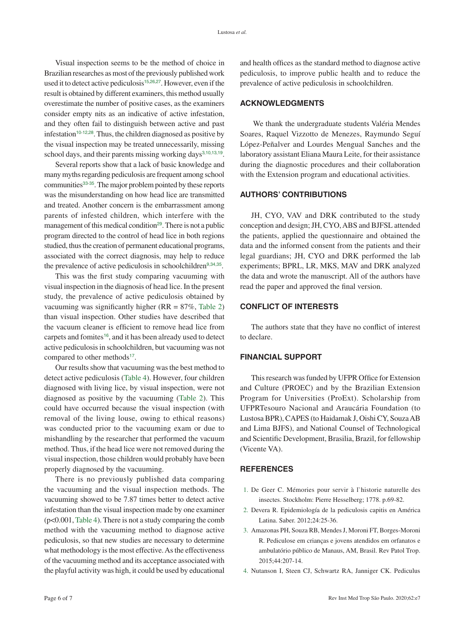Visual inspection seems to be the method of choice in Brazilian researches as most of the previously published work used it to detect active pediculosis<sup>15,26,27</sup>. However, even if the result is obtained by different examiners, this method usually overestimate the number of positive cases, as the examiners consider empty nits as an indicative of active infestation, and they often fail to distinguish between active and past infestation<sup>10-12,28</sup>. Thus, the children diagnosed as positive by the visual inspection may be treated unnecessarily, missing school days, and their parents missing working days<sup>3,10,13,19</sup>.

<span id="page-5-3"></span><span id="page-5-1"></span><span id="page-5-0"></span>Several reports show that a lack of basic knowledge and many myths regarding pediculosis are frequent among school communities<sup>33-35</sup>. The major problem pointed by these reports was the misunderstanding on how head lice are transmitted and treated. Another concern is the embarrassment among parents of infested children, which interfere with the management of this medical condition<sup>29</sup>. There is not a public program directed to the control of head lice in both regions studied, thus the creation of permanent educational programs, associated with the correct diagnosis, may help to reduce the prevalence of active pediculosis in schoolchildren $9,34,35$ .

This was the first study comparing vacuuming with visual inspection in the diagnosis of head lice. In the present study, the prevalence of active pediculosis obtained by vacuuming was significantly higher ( $RR = 87\%$ , Table 2) than visual inspection. Other studies have described that the vacuum cleaner is efficient to remove head lice from carpets and fomites<sup>16</sup>, and it has been already used to detect active pediculosis in schoolchildren, but vacuuming was not compared to other methods<sup>17</sup>.

Our results show that vacuuming was the best method to detect active pediculosis (Table 4). However, four children diagnosed with living lice, by visual inspection, were not diagnosed as positive by the vacuuming (Table 2). This could have occurred because the visual inspection (with removal of the living louse, owing to ethical reasons) was conducted prior to the vacuuming exam or due to mishandling by the researcher that performed the vacuum method. Thus, if the head lice were not removed during the visual inspection, those children would probably have been properly diagnosed by the vacuuming.

There is no previously published data comparing the vacuuming and the visual inspection methods. The vacuuming showed to be 7.87 times better to detect active infestation than the visual inspection made by one examiner (p<0.001, Table 4). There is not a study comparing the comb method with the vacuuming method to diagnose active pediculosis, so that new studies are necessary to determine what methodology is the most effective. As the effectiveness of the vacuuming method and its acceptance associated with the playful activity was high, it could be used by educational

and health offices as the standard method to diagnose active pediculosis, to improve public health and to reduce the prevalence of active pediculosis in schoolchildren.

#### **ACKNOWLEDGMENTS**

 We thank the undergraduate students Valéria Mendes Soares, Raquel Vizzotto de Menezes, Raymundo Seguí López-Peñalver and Lourdes Mengual Sanches and the laboratory assistant Eliana Maura Leite, for their assistance during the diagnostic procedures and their collaboration with the Extension program and educational activities.

# **AUTHORS' CONTRIBUTIONS**

JH, CYO, VAV and DRK contributed to the study conception and design; JH, CYO, ABS and BJFSL attended the patients, applied the questionnaire and obtained the data and the informed consent from the patients and their legal guardians; JH, CYO and DRK performed the lab experiments; BPRL, LR, MKS, MAV and DRK analyzed the data and wrote the manuscript. All of the authors have read the paper and approved the final version.

### <span id="page-5-2"></span>**CONFLICT OF INTERESTS**

The authors state that they have no conflict of interest to declare.

### **FINANCIAL SUPPORT**

This research was funded by UFPR Office for Extension and Culture (PROEC) and by the Brazilian Extension Program for Universities (ProExt). Scholarship from UFPRTesouro Nacional and Araucária Foundation (to Lustosa BPR), CAPES (to Haidamak J, Oishi CY, Souza AB and Lima BJFS), and National Counsel of Technological and Scientific Development, Brasilia, Brazil, for fellowship (Vicente VA).

#### **REFERENCES**

- 1. [De Geer C. Mémories pour servir à l`historie naturelle des](#page-0-0)  [insectes. Stockholm: Pierre Hesselberg; 1778. p.69-82.](#page-0-0)
- 2. [Devera R. Epidemiología de la pediculosis capitis en América](#page-0-1)  [Latina. Saber. 2012;24:25-36.](#page-0-1)
- 3. [Amazonas PH, Souza RB, Mendes J, Moroni FT, Borges-Moroni](#page-0-2)  [R. Pediculose em crianças e jovens atendidos em orfanatos e](#page-0-2)  [ambulatório público de Manaus, AM, Brasil. Rev Patol Trop.](#page-0-2)  [2015;44:207-14.](#page-0-2)
- 4. [Nutanson I, Steen CJ, Schwartz RA, Janniger CK. Pediculus](#page-0-3)